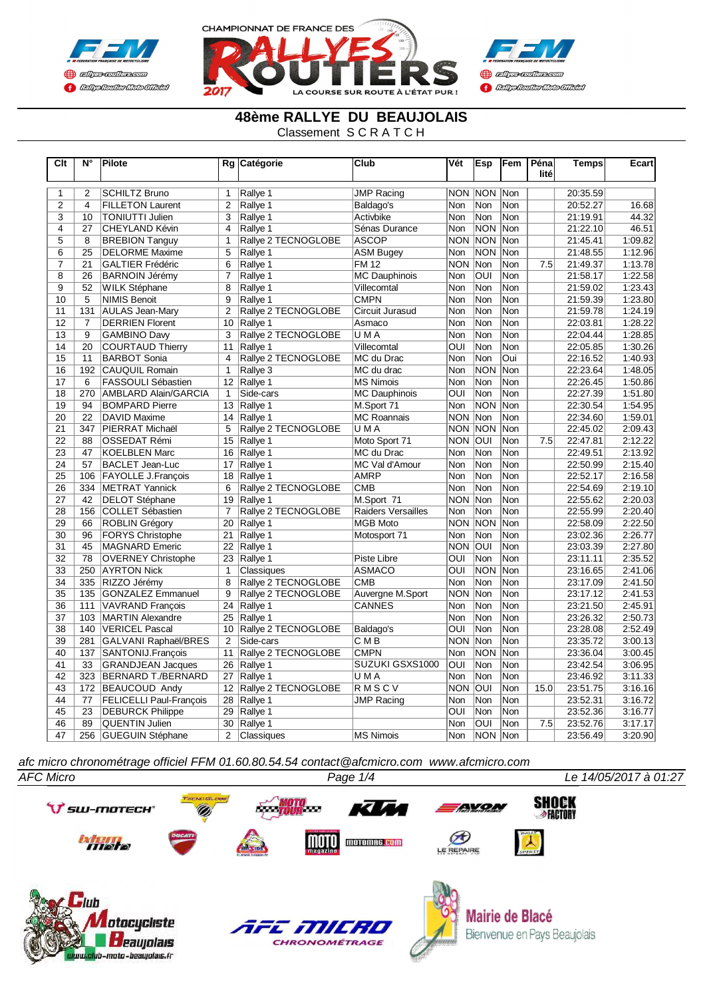





#### **48ème RALLYE DU BEAUJOLAIS**

Classement S C R A T C H

| $\overline{\text{Clt}}$ | $N^{\circ}$     | Pilote                         |                 | Rg Catégorie        | Club                      | Vét                     | Esp            | Fem        | Péna | <b>Temps</b> | Ecart   |
|-------------------------|-----------------|--------------------------------|-----------------|---------------------|---------------------------|-------------------------|----------------|------------|------|--------------|---------|
|                         |                 |                                |                 |                     |                           |                         |                |            | lité |              |         |
| $\mathbf{1}$            | $\overline{2}$  | <b>SCHILTZ Bruno</b>           | $\mathbf{1}$    | Rallye 1            | <b>JMP Racing</b>         |                         | <b>NON NON</b> | Non        |      | 20:35.59     |         |
| $\overline{2}$          | $\overline{4}$  | <b>FILLETON Laurent</b>        | 2               | Rallye 1            | Baldago's                 | Non                     | Non            | Non        |      | 20:52.27     | 16.68   |
| $\overline{3}$          | 10              | <b>TONIUTTI Julien</b>         | 3               | Rallye 1            | Activbike                 | Non                     | Non            | Non        |      | 21:19.91     | 44.32   |
| $\overline{4}$          | 27              | CHEYLAND Kévin                 | 4               | Rallye 1            | Sénas Durance             | Non                     | <b>NON</b>     | Non        |      | 21:22.10     | 46.51   |
| 5                       | 8               | <b>BREBION Tanguy</b>          | 1               | Rallye 2 TECNOGLOBE | <b>ASCOP</b>              | NON NON                 |                | <b>Non</b> |      | 21:45.41     | 1:09.82 |
| 6                       | $\overline{25}$ | <b>DELORME Maxime</b>          | 5               | Rallye 1            | <b>ASM Bugey</b>          | Non                     | <b>NON</b>     | Non        |      | 21:48.55     | 1:12.96 |
| $\overline{7}$          | 21              | <b>GALTIER Frédéric</b>        | 6               | Rallye 1            | <b>FM12</b>               | <b>NON</b>              | Non            | Non        | 7.5  | 21:49.37     | 1:13.78 |
| 8                       | 26              | <b>BARNOIN Jérémy</b>          | $\overline{7}$  | Rallye 1            | <b>MC Dauphinois</b>      | Non                     | OUI            | Non        |      | 21:58.17     | 1:22.58 |
| $\overline{9}$          | 52              | <b>WILK Stéphane</b>           | 8               | Rallye 1            | Villecomtal               | <b>Non</b>              | Non            | Non        |      | 21:59.02     | 1:23.43 |
| 10                      | $\overline{5}$  | <b>NIMIS Benoit</b>            | 9               | Rallye 1            | <b>CMPN</b>               | Non                     | Non            | Non        |      | 21:59.39     | 1:23.80 |
| 11                      | 131             | <b>AULAS Jean-Mary</b>         | $\overline{2}$  | Rallye 2 TECNOGLOBE | Circuit Jurasud           | Non                     | Non            | Non        |      | 21:59.78     | 1:24.19 |
| 12                      | $\overline{7}$  | <b>DERRIEN Florent</b>         | 10              | Rallye 1            | Asmaco                    | <b>Non</b>              | Non            | Non        |      | 22:03.81     | 1:28.22 |
| 13                      | 9               | <b>GAMBINO Daw</b>             | 3               | Rallye 2 TECNOGLOBE | U M A                     | Non                     | Non            | Non        |      | 22:04.44     | 1:28.85 |
| 14                      | 20              | <b>COURTAUD Thierry</b>        | 11              | Rallye 1            | Villecomtal               | <b>OUI</b>              | Non            | Non        |      | 22:05.85     | 1:30.26 |
| 15                      | 11              | <b>BARBOT Sonia</b>            | 4               | Rallye 2 TECNOGLOBE | MC du Drac                | <b>Non</b>              | Non            | Oui        |      | 22:16.52     | 1:40.93 |
| 16                      | 192             | <b>CAUQUIL Romain</b>          | $\mathbf{1}$    | Rallye 3            | MC du drac                | <b>Non</b>              | NON            | Non        |      | 22:23.64     | 1:48.05 |
| 17                      | 6               | <b>FASSOULI Sébastien</b>      | 12 <sup>°</sup> | Rallye 1            | <b>MS Nimois</b>          | Non                     | Non            | Non        |      | 22:26.45     | 1:50.86 |
| $\overline{18}$         | 270             | AMBLARD Alain/GARCIA           | $\overline{1}$  | Side-cars           | <b>MC Dauphinois</b>      | $\overline{\text{OUI}}$ | Non            | Non        |      | 22:27.39     | 1:51.80 |
| 19                      | 94              | <b>BOMPARD Pierre</b>          | 13              | Rallye 1            | M.Sport 71                | Non                     | NON            | Non        |      | 22:30.54     | 1:54.95 |
| 20                      | 22              | DAVID Maxime                   | 14              | Rallye 1            | <b>MC Roannais</b>        | NON Non                 |                | Non        |      | 22:34.60     | 1:59.01 |
| 21                      | 347             | <b>PIERRAT Michaël</b>         | 5               | Rallye 2 TECNOGLOBE | <b>UMA</b>                | <b>NON NON</b>          |                | Non        |      | 22:45.02     | 2:09.43 |
| 22                      | 88              | <b>IOSSEDAT Rémi</b>           | 15              | Rallye 1            | Moto Sport 71             | NON OUI                 |                | Non        | 7.5  | 22:47.81     | 2:12.22 |
| 23                      | 47              | KOELBLEN Marc                  | 16              | Rallye 1            | MC du Drac                | Non                     | Non            | Non        |      | 22:49.51     | 2:13.92 |
| 24                      | 57              | <b>BACLET Jean-Luc</b>         | 17              | Rallye 1            | MC Val d'Amour            | Non                     | Non            | Non        |      | 22:50.99     | 2:15.40 |
| 25                      | 106             | <b>FAYOLLE J.Francois</b>      | 18              | Rallye 1            | <b>AMRP</b>               | Non                     | Non            | Non        |      | 22:52.17     | 2:16.58 |
| 26                      | 334             | METRAT Yannick                 | 6               | Rallye 2 TECNOGLOBE | <b>CMB</b>                | <b>Non</b>              | Non            | Non        |      | 22:54.69     | 2:19.10 |
| 27                      | 42              | <b>DELOT Stéphane</b>          | 19              | Rallye 1            | M.Sport 71                | NON Non                 |                | Non        |      | 22:55.62     | 2:20.03 |
| 28                      | 156             | <b>COLLET Sébastien</b>        | $\overline{7}$  | Rallye 2 TECNOGLOBE | <b>Raiders Versailles</b> | <b>Non</b>              | Non            | Non        |      | 22:55.99     | 2:20.40 |
| 29                      | 66              | ROBLIN Grégory                 | 20              | Rallye 1            | <b>MGB Moto</b>           | <b>NON NON</b>          |                | Non        |      | 22:58.09     | 2:22.50 |
| $\overline{30}$         | 96              | <b>FORYS Christophe</b>        | 21              | Rallye 1            | Motosport 71              | Non                     | Non            | Non        |      | 23:02.36     | 2:26.77 |
| 31                      | 45              | MAGNARD Emeric                 | 22              | Rallye 1            |                           | <b>NON OUI</b>          |                | Non        |      | 23:03.39     | 2:27.80 |
| 32                      | 78              | <b>OVERNEY Christophe</b>      | 23              | Rallye 1            | Piste Libre               | OUI                     | Non            | Non        |      | 23:11.11     | 2:35.52 |
| 33                      | 250             | <b>AYRTON Nick</b>             | $\mathbf{1}$    | Classiques          | <b>ASMACO</b>             | OUI                     | <b>INON</b>    | <b>Non</b> |      | 23:16.65     | 2:41.06 |
| 34                      | 335             | RIZZO Jérémy                   | 8               | Rallye 2 TECNOGLOBE | <b>CMB</b>                | Non                     | Non            | Non        |      | 23:17.09     | 2:41.50 |
| $\overline{35}$         | 135             | <b>GONZALEZ Emmanuel</b>       | 9               | Rallye 2 TECNOGLOBE | Auvergne M.Sport          | NON Non                 |                | Non        |      | 23:17.12     | 2:41.53 |
| 36                      | 111             | VAVRAND François               | 24              | Rallye 1            | <b>CANNES</b>             | <b>Non</b>              | Non            | Non        |      | 23:21.50     | 2:45.91 |
| 37                      | 103             | MARTIN Alexandre               | 25              | Rallye 1            |                           | Non                     | Non            | Non        |      | 23:26.32     | 2:50.73 |
| $\overline{38}$         | 140             | <b>VERICEL Pascal</b>          | 10              | Rallye 2 TECNOGLOBE | Baldago's                 | $\overline{\text{OUI}}$ | Non            | Non        |      | 23:28.08     | 2:52.49 |
| 39                      | 281             | <b>GALVANI Raphaël/BRES</b>    | 2               | Side-cars           | C M B                     | NON Non                 |                | Non        |      | 23:35.72     | 3:00.13 |
| 40                      | 137             | SANTONIJ.François              | 11              | Rallye 2 TECNOGLOBE | <b>CMPN</b>               | Non                     | <b>NON</b>     | Non        |      | 23:36.04     | 3:00.45 |
| 41                      | 33              | <b>GRANDJEAN Jacques</b>       | 26              | Rallye 1            | SUZUKI GSXS1000           | $\overline{O}$          | Non            | Non        |      | 23:42.54     | 3:06.95 |
| 42                      | 323             | BERNARD T./BERNARD             | 27              | Rallve 1            | U M A                     | Non                     | Non            | Non        |      | 23:46.92     | 3:11.33 |
| 43                      | 172             | <b>BEAUCOUD Andy</b>           | 12 <sup>°</sup> | Rallye 2 TECNOGLOBE | RMSCV                     | <b>NON OUI</b>          |                | Non        | 15.0 | 23:51.75     | 3:16.16 |
| 44                      | 77              | <b>FELICELLI Paul-Francois</b> | 28              | Rallye 1            | <b>JMP Racing</b>         | Non                     | Non            | Non        |      | 23:52.31     | 3:16.72 |
| 45                      | 23              | <b>DEBURCK Philippe</b>        | 29              | Rallye 1            |                           | OUI                     | Non            | Non        |      | 23:52.36     | 3:16.77 |
| 46                      | 89              | <b>QUENTIN Julien</b>          | 30              | Rallye 1            |                           | <b>Non</b>              | <b>OUI</b>     | Non        | 7.5  | 23:52.76     | 3:17.17 |
| 47                      | 256             | <b>GUEGUIN Stéphane</b>        | 2               | Classiques          | <b>MS Nimois</b>          | Non                     | <b>NON</b>     | Non        |      | 23:56.49     | 3:20.90 |

*afc micro chronométrage officiel FFM 01.60.80.54.54 contact@afcmicro.com www.afcmicro.com*

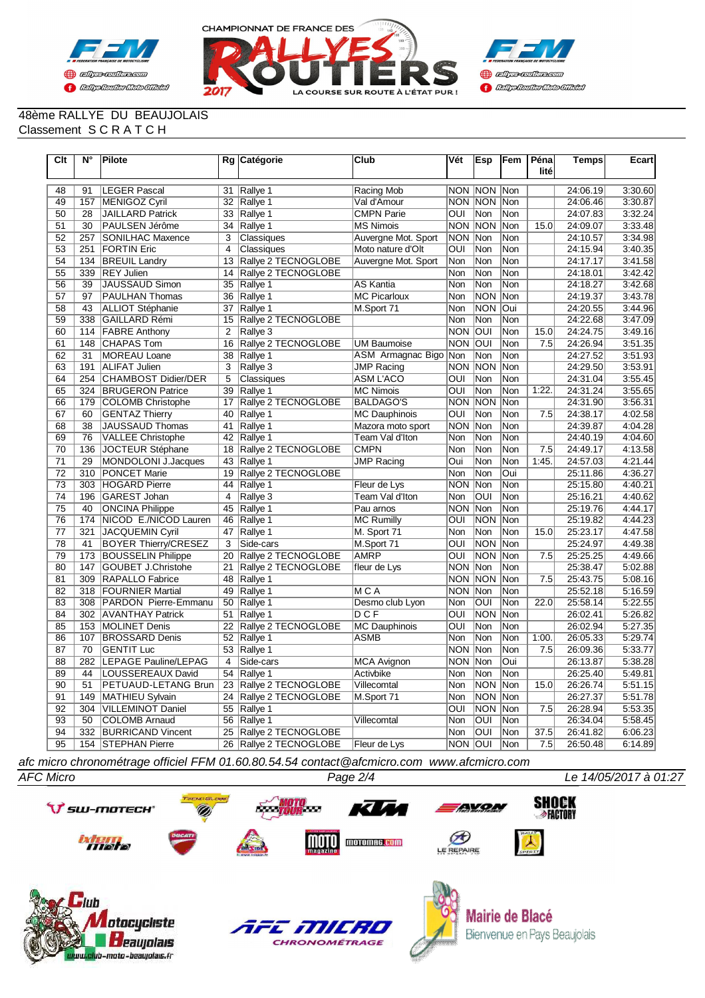



#### 48ème RALLYE DU BEAUJOLAIS Classement S C R A T C H

| $\overline{C}$ It | $\overline{\mathsf{N}^{\circ}}$ | Pilote                      |                 | Rg Catégorie           | Club                  | Vét            | Esp            | Fem        | Péna<br>lité | Temps    | Ecart   |
|-------------------|---------------------------------|-----------------------------|-----------------|------------------------|-----------------------|----------------|----------------|------------|--------------|----------|---------|
| 48                | 91                              | LEGER Pascal                | 31              | Rallye 1               | Racing Mob            |                | <b>NON NON</b> | Non        |              | 24:06.19 | 3:30.60 |
| 49                | 157                             | MENIGOZ Cyril               | 32              | Rallye 1               | Val d'Amour           | <b>NON NON</b> |                | Non        |              | 24:06.46 | 3:30.87 |
| 50                | 28                              | <b>JAILLARD Patrick</b>     | 33              | Rallye 1               | <b>CMPN Parie</b>     | OUI            | Non            | Non        |              | 24:07.83 | 3:32.24 |
| 51                | 30                              | PAULSEN Jérôme              | 34              | Rallye 1               | <b>MS Nimois</b>      | <b>NON</b>     | <b>NON</b>     | <b>Non</b> | 15.0         | 24:09.07 | 3:33.48 |
| 52                | 257                             | <b>SONILHAC Maxence</b>     | 3               | Classiques             | Auvergne Mot. Sport   | <b>NON</b>     | Non            | <b>Non</b> |              | 24:10.57 | 3:34.98 |
| 53                | 251                             | <b>FORTIN Eric</b>          | $\overline{4}$  | Classiques             | Moto nature d'Olt     | OUI            | Non            | <b>Non</b> |              | 24:15.94 | 3:40.35 |
| 54                | 134                             | <b>BREUIL Landry</b>        | 13              | Rallye 2 TECNOGLOBE    | Auvergne Mot. Sport   | Non            | Non            | Non        |              | 24:17.17 | 3:41.58 |
| 55                | 339                             | <b>REY Julien</b>           | 14              | Rallye 2 TECNOGLOBE    |                       | Non            | Non            | Non        |              | 24:18.01 | 3:42.42 |
| 56                | $\overline{39}$                 | <b>JAUSSAUD Simon</b>       | 35              | Rallye 1               | <b>AS Kantia</b>      | Non            | Non            | Non        |              | 24:18.27 | 3:42.68 |
| 57                | 97                              | <b>PAULHAN Thomas</b>       | 36              | Rallye 1               | <b>MC Picarloux</b>   | Non            | <b>NON</b>     | Non        |              | 24:19.37 | 3:43.78 |
| 58                | 43                              | <b>ALLIOT Stéphanie</b>     | 37              | Rallye 1               | M.Sport 71            | <b>Non</b>     | <b>NON</b>     | Oui        |              | 24:20.55 | 3:44.96 |
| 59                | 338                             | <b>GAILLARD Rémi</b>        | 15              | Rallye 2 TECNOGLOBE    |                       | <b>Non</b>     | Non            | <b>Non</b> |              | 24:22.68 | 3:47.09 |
| 60                |                                 | 114 FABRE Anthony           | $\overline{2}$  | Rallve 3               |                       | <b>NON</b>     | loui           | <b>Non</b> | 15.0         | 24:24.75 | 3:49.16 |
| 61                | 148                             | <b>CHAPAS Tom</b>           | 16              | Rallye 2 TECNOGLOBE    | <b>UM Baumoise</b>    | <b>NON</b>     | <b>OUI</b>     | <b>Non</b> | 7.5          | 24:26.94 | 3:51.35 |
| 62                | 31                              | <b>MOREAU Loane</b>         | $\overline{38}$ | Rallye 1               | ASM Armagnac Bigo Non |                | Non            | <b>Non</b> |              | 24:27.52 | 3:51.93 |
| 63                | 191                             | <b>ALIFAT Julien</b>        | 3               | Rallye 3               | <b>JMP Racing</b>     | <b>NON</b>     | <b>NON</b>     | Non        |              | 24:29.50 | 3:53.91 |
| 64                | 254                             | CHAMBOST Didier/DER         | 5               | Classiques             | <b>ASM L'ACO</b>      | OUI            | Non            | Non        |              | 24:31.04 | 3:55.45 |
| 65                |                                 | 324 BRUGERON Patrice        | 39              | Rallye 1               | <b>MC Nimois</b>      | OUI            | Non            | Non        | 1:22.        | 24:31.24 | 3:55.65 |
| 66                | 179                             | COLOMB Christophe           | 17              | Rallye 2 TECNOGLOBE    | <b>BALDAGO'S</b>      | <b>NON</b>     | <b>NON</b>     | <b>Non</b> |              | 24:31.90 | 3:56.31 |
| 67                | 60                              | <b>GENTAZ Thierry</b>       | 40              | Rallye 1               | <b>MC Dauphinois</b>  | OUI            | Non            | Non        | 7.5          | 24:38.17 | 4:02.58 |
| 68                | 38                              | <b>JAUSSAUD Thomas</b>      | 41              | Rallye 1               | Mazora moto sport     | <b>NON</b>     | Non            | Non        |              | 24:39.87 | 4:04.28 |
| 69                | 76                              | <b>VALLEE Christophe</b>    | 42              | Rallye 1               | Team Val d'Iton       | Non            | Non            | Non        |              | 24:40.19 | 4:04.60 |
| 70                | 136                             | JOCTEUR Stéphane            | 18              | Rallye 2 TECNOGLOBE    | <b>CMPN</b>           | Non            | Non            | Non        | 7.5          | 24:49.17 | 4:13.58 |
| 71                | 29                              | MONDOLONI J.Jacques         | 43              | Rallye 1               | <b>JMP Racing</b>     | Oui            | Non            | Non        | 1:45.        | 24:57.03 | 4:21.44 |
| 72                | 310                             | <b>PONCET Marie</b>         | 19              | Rallye 2 TECNOGLOBE    |                       | Non            | Non            | Oui        |              | 25:11.86 | 4:36.27 |
| 73                | 303                             | <b>HOGARD Pierre</b>        | 44              | Rallye 1               | Fleur de Lys          | <b>NON</b>     | Non            | Non        |              | 25:15.80 | 4:40.21 |
| $\overline{74}$   | 196                             | <b>GAREST Johan</b>         | $\overline{4}$  | Rallye 3               | Team Val d'Iton       | <b>Non</b>     | <b>OUI</b>     | <b>Non</b> |              | 25:16.21 | 4:40.62 |
| 75                | 40                              | <b>ONCINA Philippe</b>      | 45              | Rallve 1               | Pau arnos             | <b>NON</b>     | Non            | Non        |              | 25:19.76 | 4:44.17 |
| 76                | 174                             | NICOD E./NICOD Lauren       | 46              | Rallye 1               | <b>MC Rumilly</b>     | OUI            | <b>NON</b>     | <b>Non</b> |              | 25:19.82 | 4:44.23 |
| 77                | 321                             | <b>JACQUEMIN Cyril</b>      | 47              | Rallye 1               | M. Sport 71           | Non            | Non            | Non        | 15.0         | 25:23.17 | 4:47.58 |
| $\overline{78}$   | 41                              | <b>BOYER Thierry/CRESEZ</b> | 3               | Side-cars              | M.Sport 71            | OUI            | <b>NON</b>     | Non        |              | 25:24.97 | 4:49.38 |
| 79                | 173                             | <b>BOUSSELIN Philippe</b>   | 20              | Rallye 2 TECNOGLOBE    | AMRP                  | OUI            | <b>NON</b>     | Non        | 7.5          | 25:25.25 | 4:49.66 |
| 80                | 147                             | <b>GOUBET J.Christohe</b>   | 21              | Rallye 2 TECNOGLOBE    | fleur de Lys          | NON Non        |                | Non        |              | 25:38.47 | 5:02.88 |
| 81                | 309                             | <b>RAPALLO Fabrice</b>      | 48              | Rallye 1               |                       | <b>NON</b>     | <b>NON</b>     | <b>Non</b> | 7.5          | 25:43.75 | 5:08.16 |
| 82                | 318                             | <b>FOURNIER Martial</b>     | 49              | Rallye 1               | MCA                   | <b>NON</b>     | Non            | Non        |              | 25:52.18 | 5:16.59 |
| 83                | 308                             | PARDON Pierre-Emmanu        | 50              | Rallye 1               | Desmo club Lyon       | Non            | loui           | Non        | 22.0         | 25:58.14 | 5:22.55 |
| 84                |                                 | 302 AVANTHAY Patrick        | 51              | Rallye 1               | DCF                   | OUI            | NON            | Non        |              | 26:02.41 | 5:26.82 |
| 85                |                                 | 153   MOLINET Denis         | 22              | Rallye 2 TECNOGLOBE    | <b>MC Dauphinois</b>  | OUI            | Non            | Non        |              | 26:02.94 | 5:27.35 |
| 86                | 107                             | <b>BROSSARD Denis</b>       | 52              | Rallye 1               | <b>ASMB</b>           | Non            | Non            | Non        | 1:00.        | 26:05.33 | 5:29.74 |
| 87                | 70                              | <b>GENTIT Luc</b>           | 53              | Rallye 1               |                       | <b>NON</b>     | Non            | Non        | 7.5          | 26:09.36 | 5:33.77 |
| 88                | 282                             | <b>LEPAGE Pauline/LEPAG</b> | $\overline{4}$  | Side-cars              | <b>MCA Avignon</b>    | <b>NON</b>     | Non            | Oui        |              | 26:13.87 | 5:38.28 |
| 89                | 44                              | LOUSSEREAUX David           | 54              | Rallve 1               | Activbike             | <b>Non</b>     | Non            | <b>Non</b> |              | 26:25.40 | 5:49.81 |
| 90                | 51                              | PETUAUD-LETANG Brun         | $\overline{23}$ | Rallye 2 TECNOGLOBE    | Villecomtal           | Non            | <b>NON</b>     | Non        | 15.0         | 26:26.74 | 5:51.15 |
| 91                | 149                             | MATHIEU Sylvain             | 24              | Rallye 2 TECNOGLOBE    | M.Sport 71            | Non            | <b>NON</b>     | Non        |              | 26:27.37 | 5:51.78 |
| 92                | 304                             | VILLEMINOT Daniel           | 55              | Rallye 1               |                       | OUI            | NON            | Non        | 7.5          | 26:28.94 | 5:53.35 |
| 93                | 50                              | <b>COLOMB Arnaud</b>        | 56              | Rallye 1               | Villecomtal           | Non            | loui           | Non        |              | 26:34.04 | 5:58.45 |
| 94                | 332                             | <b>BURRICAND Vincent</b>    | 25              | Rallye 2 TECNOGLOBE    |                       | Non            | OUI            | Non        | 37.5         | 26:41.82 | 6:06.23 |
| 95                |                                 | 154 STEPHAN Pierre          |                 | 26 Rallye 2 TECNOGLOBE | Fleur de Lys          | NON OUI        |                | Non        | 7.5          | 26:50.48 | 6:14.89 |

*afc micro chronométrage officiel FFM 01.60.80.54.54 contact@afcmicro.com www.afcmicro.com*

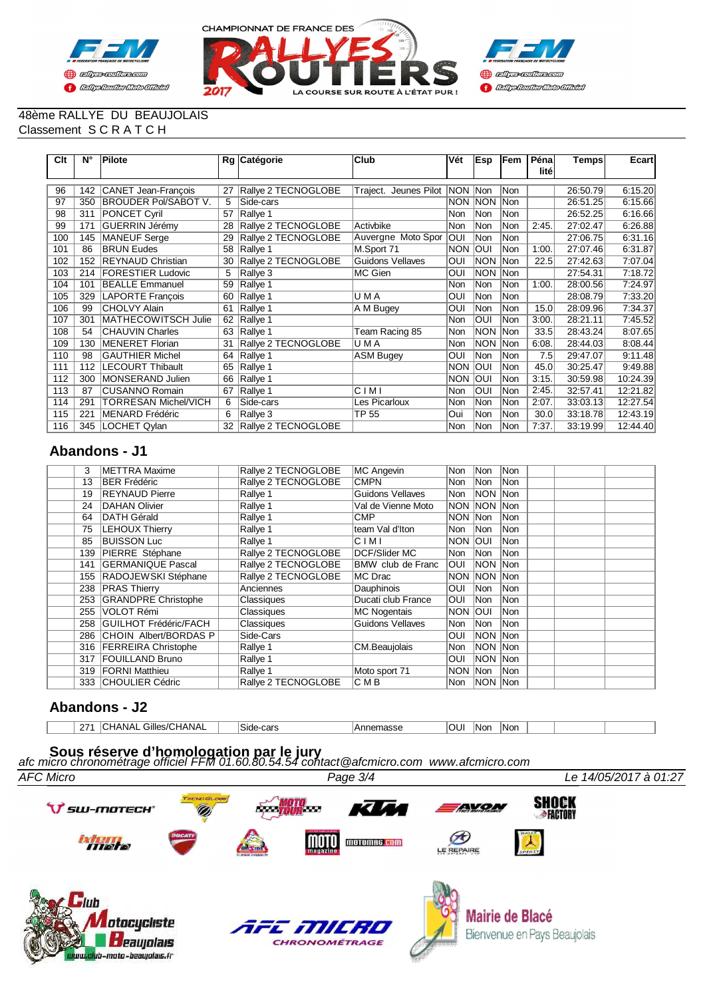



#### 48ème RALLYE DU BEAUJOLAIS Classement S C R A T C H

| Clt | N°  | Pilote                      |    | Rg Catégorie        | Club                    | Vét        | <b>IEsp</b> | <b>Fem</b> | Péna<br>lité | <b>Temps</b> | Ecart    |
|-----|-----|-----------------------------|----|---------------------|-------------------------|------------|-------------|------------|--------------|--------------|----------|
|     |     |                             |    |                     |                         |            |             |            |              |              |          |
| 96  | 142 | CANET Jean-François         | 27 | Rallye 2 TECNOGLOBE | Traject. Jeunes Pilot   | NON        | <b>Non</b>  | Non        |              | 26:50.79     | 6:15.20  |
| 97  | 350 | <b>BROUDER Pol/SABOT V.</b> | 5  | Side-cars           |                         | <b>NON</b> | <b>NON</b>  | lNon       |              | 26:51.25     | 6:15.66  |
| 98  | 311 | PONCET Cyril                | 57 | Rallye 1            |                         | Non        | Non         | Non        |              | 26:52.25     | 6:16.66  |
| 99  | 171 | GUERRIN Jérémy              | 28 | Rallye 2 TECNOGLOBE | Activbike               | Non        | lNon        | Non        | 2:45.        | 27:02.47     | 6:26.88  |
| 100 | 145 | MANEUF Serge                | 29 | Rallye 2 TECNOGLOBE | Auvergne Moto Spor      | OUI        | Non         | Non        |              | 27:06.75     | 6:31.16  |
| 101 | 86  | <b>BRUN Eudes</b>           | 58 | Rallye 1            | M.Sport 71              | <b>NON</b> | loui        | Non        | 1:00.        | 27:07.46     | 6:31.87  |
| 102 | 152 | <b>REYNAUD Christian</b>    | 30 | Rallye 2 TECNOGLOBE | <b>Guidons Vellaves</b> | OUI        | <b>NON</b>  | <b>Non</b> | 22.5         | 27:42.63     | 7:07.04  |
| 103 | 214 | <b>FORESTIER Ludovic</b>    | 5  | Rallye 3            | MC Gien                 | OUI        | <b>NON</b>  | Non        |              | 27:54.31     | 7:18.72  |
| 104 | 101 | <b>BEALLE Emmanuel</b>      | 59 | Rallye 1            |                         | Non        | Non         | <b>Non</b> | 1:00.        | 28:00.56     | 7:24.97  |
| 105 | 329 | <b>LAPORTE Francois</b>     | 60 | Rallye 1            | U M A                   | OUI        | Non         | <b>Non</b> |              | 28:08.79     | 7:33.20  |
| 106 | 99  | <b>CHOLVY Alain</b>         | 61 | Rallye 1            | A M Bugey               | OUI        | Non         | <b>Non</b> | 15.0         | 28:09.96     | 7:34.37  |
| 107 | 301 | MATHECOWITSCH Julie         | 62 | Rallye 1            |                         | Non        | OUI         | Non        | 3:00.        | 28:21.11     | 7:45.52  |
| 108 | 54  | <b>CHAUVIN Charles</b>      | 63 | Rallye 1            | Team Racing 85          | Non        | <b>NON</b>  | Non        | 33.5         | 28:43.24     | 8:07.65  |
| 109 | 130 | MENERET Florian             | 31 | Rallye 2 TECNOGLOBE | U M A                   | <b>Non</b> | <b>NON</b>  | <b>Non</b> | 6:08         | 28:44.03     | 8:08.44  |
| 110 | 98  | <b>GAUTHIER Michel</b>      | 64 | Rallye 1            | <b>ASM Bugey</b>        | OUI        | Non         | Non        | 7.5          | 29:47.07     | 9:11.48  |
| 111 | 112 | <b>LECOURT Thibault</b>     | 65 | Rallye 1            |                         | <b>NON</b> | <b>OUI</b>  | Non        | 45.0         | 30:25.47     | 9:49.88  |
| 112 | 300 | MONSERAND Julien            | 66 | Rallye 1            |                         | NON        | loui        | Non        | 3:15.        | 30:59.98     | 10:24.39 |
| 113 | 87  | <b>CUSANNO Romain</b>       | 67 | Rallye 1            | CIMI                    | Non        | <b>OUI</b>  | <b>Non</b> | 2:45.        | 32:57.41     | 12:21.82 |
| 114 | 291 | TORRESAN Michel/VICH        | 6  | Side-cars           | Les Picarloux           | Non        | Non         | Non        | 2:07         | 33:03.13     | 12:27.54 |
| 115 | 221 | MENARD Frédéric             | 6  | Rallye 3            | <b>TP 55</b>            | Oui        | Non         | <b>Non</b> | 30.0         | 33:18.78     | 12:43.19 |
| 116 | 345 | LOCHET Qylan                | 32 | Rallye 2 TECNOGLOBE |                         | Non        | Non         | Non        | 7:37         | 33:19.99     | 12:44.40 |

## **Abandons - J1**

| 3   | METTRA Maxime                | Rallye 2 TECNOGLOBE | MC Angevin           | lNon l         | Non                | Non        |  |  |
|-----|------------------------------|---------------------|----------------------|----------------|--------------------|------------|--|--|
| 13  | <b>BER Frédéric</b>          | Rallye 2 TECNOGLOBE | <b>CMPN</b>          | Non            | INon               | <b>Non</b> |  |  |
| 19  | <b>REYNAUD Pierre</b>        | Rallye 1            | Guidons Vellaves     | Non            | NON Non            |            |  |  |
| 24  | DAHAN Olivier                | Rallye 1            | Val de Vienne Moto   |                | <b>NON NON Non</b> |            |  |  |
| 64  | <b>DATH Gérald</b>           | Rallye 1            | <b>CMP</b>           | NON Non        |                    | <b>Non</b> |  |  |
| 75  | LEHOUX Thierry               | Rallye 1            | team Val d'Iton      | Non            | Non                | <b>Non</b> |  |  |
| 85  | <b>BUISSON Luc</b>           | Rallye 1            | CIMI                 | Inon Ioui      |                    | <b>Non</b> |  |  |
| 139 | PIERRE Stéphane              | Rallye 2 TECNOGLOBE | <b>DCF/Slider MC</b> | lNon           | Non                | <b>Non</b> |  |  |
| 141 | <b>GERMANIQUE Pascal</b>     | Rallye 2 TECNOGLOBE | BMW club de Franc    | <b>OUI</b>     | NON Non            |            |  |  |
| 155 | RADOJEWSKI Stéphane          | Rallye 2 TECNOGLOBE | MC Drac              |                | <b>NON NON Non</b> |            |  |  |
| 238 | <b>PRAS Thierry</b>          | Anciennes           | Dauphinois           | IOUI.          | Non                | <b>Non</b> |  |  |
| 253 | <b>GRANDPRE Christophe</b>   | Classiques          | Ducati club France   | loui           | INon               | <b>Non</b> |  |  |
| 255 | VOLOT Rémi                   | Classiques          | MC Nogentais         | <b>NON OUI</b> |                    | <b>Non</b> |  |  |
| 258 | <b>GUILHOT Frédéric/FACH</b> | Classiques          | Guidons Vellaves     | Non            | Non                | <b>Non</b> |  |  |
| 286 | <b>CHOIN Albert/BORDAS P</b> | Side-Cars           |                      | luol           | NON Non            |            |  |  |
|     | 316   FERREIRA Christophe    | Rallye 1            | CM.Beaujolais        | Non            | NON Non            |            |  |  |
| 317 | <b>FOUILLAND Bruno</b>       | Rallye 1            |                      | luol           | NON Non            |            |  |  |
| 319 | <b>FORNI Matthieu</b>        | Rallye 1            | Moto sport 71        | NON Non        |                    | <b>Non</b> |  |  |
|     | 333 CHOULIER Cédric          | Rallve 2 TECNOGLOBE | C M B                | Non            | NON Non            |            |  |  |

### **Abandons - J2**

| 07.<br><u>.</u> | ¬ ' | Gilles/CI<br>/CHANAL<br>NA' |  | -cars<br>Side | .amgeec<br>סכפסווסו | ╶<br>ישט | Nor | INon |  |  |  |
|-----------------|-----|-----------------------------|--|---------------|---------------------|----------|-----|------|--|--|--|
|-----------------|-----|-----------------------------|--|---------------|---------------------|----------|-----|------|--|--|--|

# *afc micro chronométrage officiel FFM 01.60.80.54.54 contact@afcmicro.com www.afcmicro.com* **Sous réserve d'homologation par le jury**